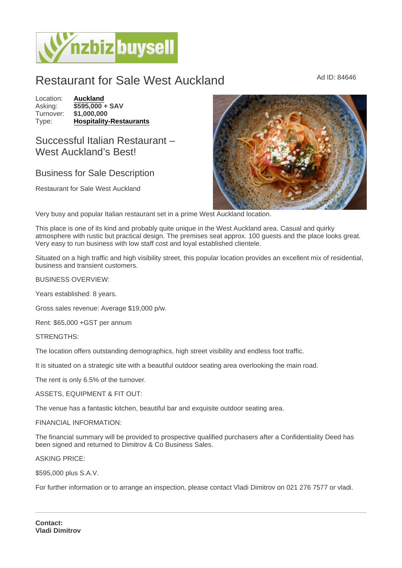# Restaurant for Sale West Auckland Ad ID: 84646

Location: [Auckland](https://www.nzbizbuysell.co.nz/businesses-for-sale/location/Auckland) Asking:  $\sqrt{$595,000} +$  SAV<br>Turnover:  $$1,000,000$ Turnover: Type: [Hospitality-Restaurants](https://www.nzbizbuysell.co.nz/businesses-for-sale/Restaurants/New-Zealand)

## Successful Italian Restaurant – West Auckland's Best!

### Business for Sale Description

Restaurant for Sale West Auckland

Very busy and popular Italian restaurant set in a prime West Auckland location.

This place is one of its kind and probably quite unique in the West Auckland area. Casual and quirky atmosphere with rustic but practical design. The premises seat approx. 100 guests and the place looks great. Very easy to run business with low staff cost and loyal established clientele.

Situated on a high traffic and high visibility street, this popular location provides an excellent mix of residential, business and transient customers.

BUSINESS OVERVIEW:

Years established: 8 years.

Gross sales revenue: Average \$19,000 p/w.

Rent: \$65,000 +GST per annum

STRENGTHS:

The location offers outstanding demographics, high street visibility and endless foot traffic.

It is situated on a strategic site with a beautiful outdoor seating area overlooking the main road.

The rent is only 6.5% of the turnover.

#### ASSETS, EQUIPMENT & FIT OUT:

The venue has a fantastic kitchen, beautiful bar and exquisite outdoor seating area.

#### FINANCIAL INFORMATION:

The financial summary will be provided to prospective qualified purchasers after a Confidentiality Deed has been signed and returned to Dimitrov & Co Business Sales.

#### ASKING PRICE:

\$595,000 plus S.A.V.

For further information or to arrange an inspection, please contact Vladi Dimitrov on 021 276 7577 or vladi.